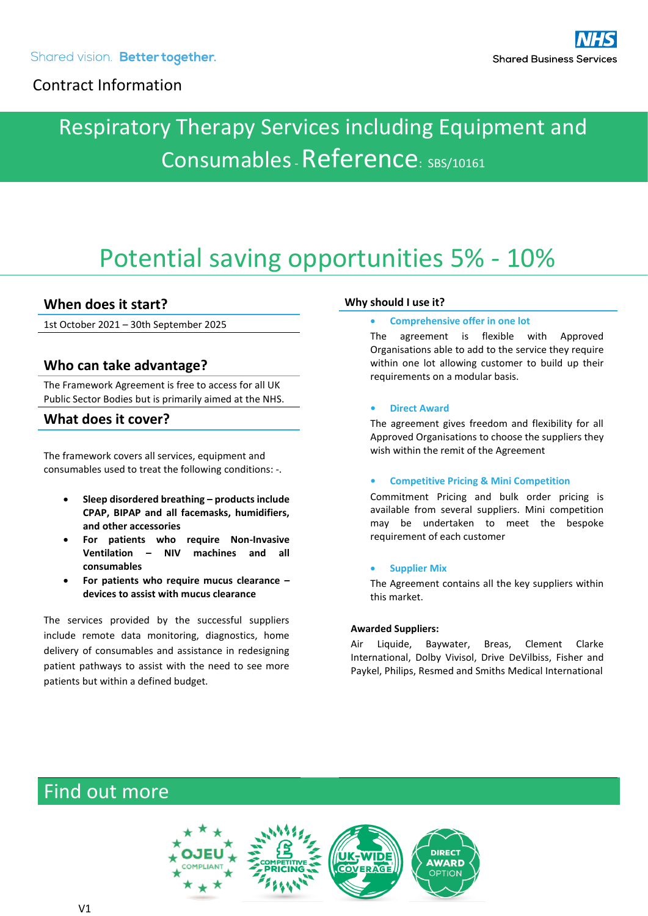# Respiratory Therapy Services including Equipment and Consumables - Reference: SBS/10161

# Potential saving opportunities 5% - 10%

### **When does it start?**

1st October 2021 – 30th September 2025

## **Who can take advantage?**

The Framework Agreement is free to access for all UK Public Sector Bodies but is primarily aimed at the NHS.

### **What does it cover?**

The framework covers all services, equipment and consumables used to treat the following conditions: -.

- **Sleep disordered breathing – products include CPAP, BIPAP and all facemasks, humidifiers, and other accessories**
- **For patients who require Non-Invasive Ventilation – NIV machines and all consumables**
- **For patients who require mucus clearance – devices to assist with mucus clearance**

The services provided by the successful suppliers include remote data monitoring, diagnostics, home delivery of consumables and assistance in redesigning patient pathways to assist with the need to see more patients but within a defined budget.

#### **Why should I use it?**

#### • **Comprehensive offer in one lot**

The agreement is flexible with Approved Organisations able to add to the service they require within one lot allowing customer to build up their requirements on a modular basis.

#### **• Direct Award**

The agreement gives freedom and flexibility for all Approved Organisations to choose the suppliers they wish within the remit of the Agreement

#### **• Competitive Pricing & Mini Competition**

Commitment Pricing and bulk order pricing is available from several suppliers. Mini competition may be undertaken to meet the bespoke requirement of each customer

#### • **Supplier Mix**

The Agreement contains all the key suppliers within this market.

#### **Awarded Suppliers:**

Air Liquide, Baywater, Breas, Clement Clarke International, Dolby Vivisol, Drive DeVilbiss, Fisher and Paykel, Philips, Resmed and Smiths Medical International

# Find out more